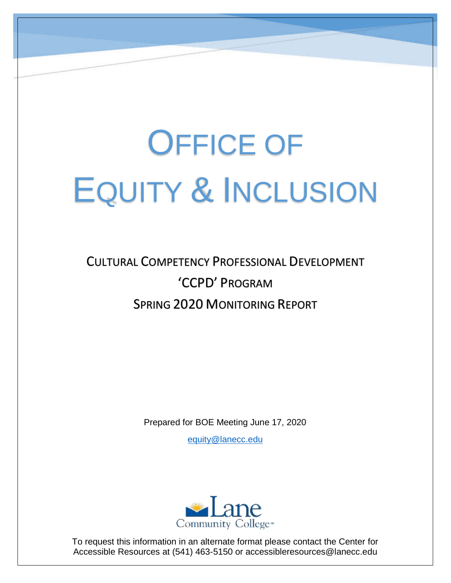# OFFICE OF EQUITY & INCLUSION

# CULTURAL COMPETENCY PROFESSIONAL DEVELOPMENT 'CCPD' PROGRAM SPRING 2020 MONITORING REPORT

Prepared for BOE Meeting June 17, 2020

[equity@lanecc.edu](mailto:equity@lanecc.edu)



To request this information in an alternate format please contact the Center for Accessible Resources at (541) 463-5150 or accessibleresources@lanecc.edu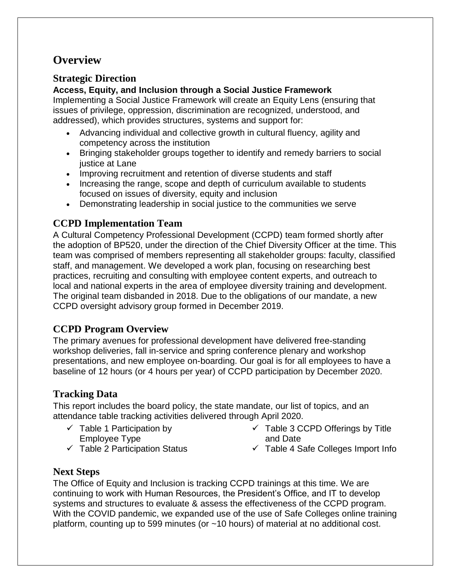# **Overview**

#### **Strategic Direction**

#### **Access, Equity, and Inclusion through a Social Justice Framework**

Implementing a Social Justice Framework will create an Equity Lens (ensuring that issues of privilege, oppression, discrimination are recognized, understood, and addressed), which provides structures, systems and support for:

- Advancing individual and collective growth in cultural fluency, agility and competency across the institution
- Bringing stakeholder groups together to identify and remedy barriers to social justice at Lane
- Improving recruitment and retention of diverse students and staff
- Increasing the range, scope and depth of curriculum available to students focused on issues of diversity, equity and inclusion
- Demonstrating leadership in social justice to the communities we serve

### **CCPD Implementation Team**

A Cultural Competency Professional Development (CCPD) team formed shortly after the adoption of BP520, under the direction of the Chief Diversity Officer at the time. This team was comprised of members representing all stakeholder groups: faculty, classified staff, and management. We developed a work plan, focusing on researching best practices, recruiting and consulting with employee content experts, and outreach to local and national experts in the area of employee diversity training and development. The original team disbanded in 2018. Due to the obligations of our mandate, a new CCPD oversight advisory group formed in December 2019.

#### **CCPD Program Overview**

The primary avenues for professional development have delivered free-standing workshop deliveries, fall in-service and spring conference plenary and workshop presentations, and new employee on-boarding. Our goal is for all employees to have a baseline of 12 hours (or 4 hours per year) of CCPD participation by December 2020.

#### **Tracking Data**

This report includes the board policy, the state mandate, our list of topics, and an attendance table tracking activities delivered through April 2020.

- $\checkmark$  Table 1 Participation by Employee Type
- $\checkmark$  Table 2 Participation Status
- $\checkmark$  Table 3 CCPD Offerings by Title and Date
- $\checkmark$  Table 4 Safe Colleges Import Info

#### **Next Steps**

The Office of Equity and Inclusion is tracking CCPD trainings at this time. We are continuing to work with Human Resources, the President's Office, and IT to develop systems and structures to evaluate & assess the effectiveness of the CCPD program. With the COVID pandemic, we expanded use of the use of Safe Colleges online training platform, counting up to 599 minutes (or ~10 hours) of material at no additional cost.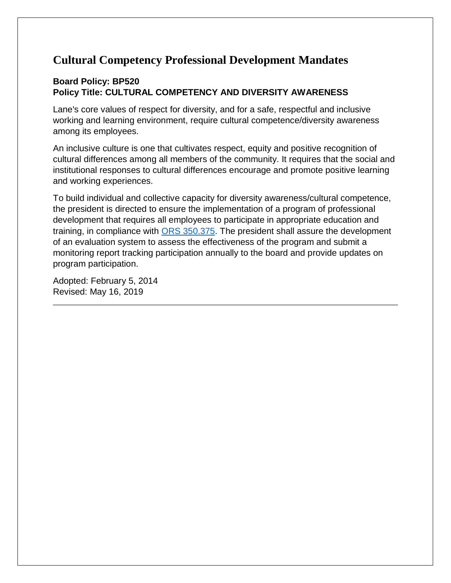# **Cultural Competency Professional Development Mandates**

#### **Board Policy: BP520 Policy Title: CULTURAL COMPETENCY AND DIVERSITY AWARENESS**

Lane's core values of respect for diversity, and for a safe, respectful and inclusive working and learning environment, require cultural competence/diversity awareness among its employees.

An inclusive culture is one that cultivates respect, equity and positive recognition of cultural differences among all members of the community. It requires that the social and institutional responses to cultural differences encourage and promote positive learning and working experiences.

To build individual and collective capacity for diversity awareness/cultural competence, the president is directed to ensure the implementation of a program of professional development that requires all employees to participate in appropriate education and training, in compliance with [ORS 350.375.](https://www.oregonlaws.org/ors/350.375) The president shall assure the development of an evaluation system to assess the effectiveness of the program and submit a monitoring report tracking participation annually to the board and provide updates on program participation.

Adopted: February 5, 2014 Revised: May 16, 2019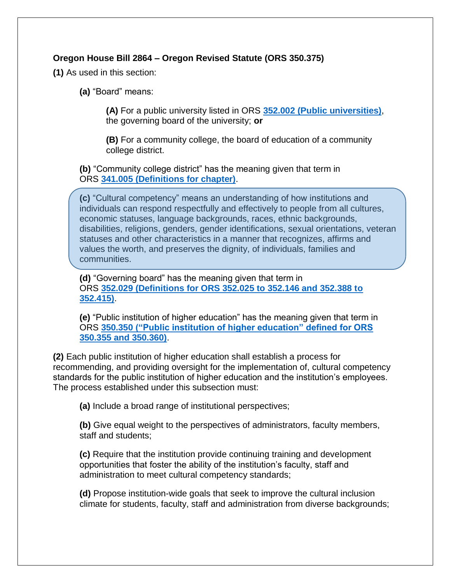#### **Oregon House Bill 2864 – Oregon Revised Statute (ORS 350.375)**

**(1)** As used in this section:

**(a)** "Board" means:

**(A)** For a public university listed in ORS **352.002 [\(Public universities\)](https://www.oregonlaws.org/ors/352.002)**, the governing board of the university; **or**

**(B)** For a community college, the board of education of a community college district.

**(b)** "Community college district" has the meaning given that term in ORS **341.005 [\(Definitions for chapter\)](https://www.oregonlaws.org/ors/341.005)**.

**(c)** "Cultural competency" means an understanding of how institutions and individuals can respond respectfully and effectively to people from all cultures, economic statuses, language backgrounds, races, ethnic backgrounds, disabilities, religions, genders, gender identifications, sexual orientations, veteran statuses and other characteristics in a manner that recognizes, affirms and values the worth, and preserves the dignity, of individuals, families and communities.

**(d)** "Governing board" has the meaning given that term in ORS **352.029 [\(Definitions for ORS 352.025 to 352.146 and 352.388 to](https://www.oregonlaws.org/ors/352.029)  [352.415\)](https://www.oregonlaws.org/ors/352.029)**.

**(e)** "Public institution of higher education" has the meaning given that term in ORS **350.350 [\("Public institution of higher education" defined for ORS](https://www.oregonlaws.org/ors/350.350)  [350.355 and 350.360\)](https://www.oregonlaws.org/ors/350.350)**.

**(2)** Each public institution of higher education shall establish a process for recommending, and providing oversight for the implementation of, cultural competency standards for the public institution of higher education and the institution's employees. The process established under this subsection must:

**(a)** Include a broad range of institutional perspectives;

**(b)** Give equal weight to the perspectives of administrators, faculty members, staff and students;

**(c)** Require that the institution provide continuing training and development opportunities that foster the ability of the institution's faculty, staff and administration to meet cultural competency standards;

**(d)** Propose institution-wide goals that seek to improve the cultural inclusion climate for students, faculty, staff and administration from diverse backgrounds;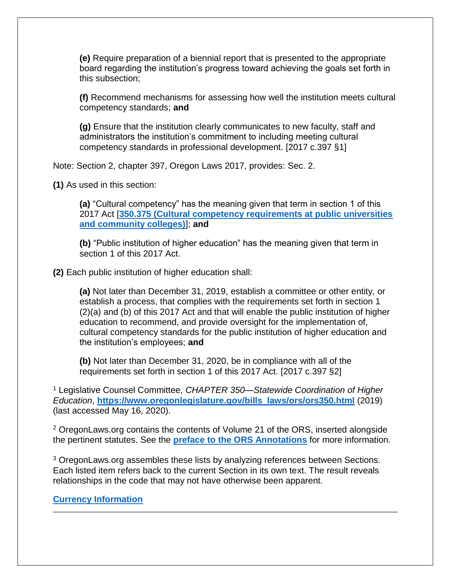**(e)** Require preparation of a biennial report that is presented to the appropriate board regarding the institution's progress toward achieving the goals set forth in this subsection;

**(f)** Recommend mechanisms for assessing how well the institution meets cultural competency standards; **and**

**(g)** Ensure that the institution clearly communicates to new faculty, staff and administrators the institution's commitment to including meeting cultural competency standards in professional development. [2017 c.397 §1]

Note: Section 2, chapter 397, Oregon Laws 2017, provides: Sec. 2.

**(1)** As used in this section:

**(a)** "Cultural competency" has the meaning given that term in section 1 of this 2017 Act [**350.375 [\(Cultural competency requirements at public universities](https://www.oregonlaws.org/ors/350.375)  [and community colleges\)](https://www.oregonlaws.org/ors/350.375)**]; **and**

**(b)** "Public institution of higher education" has the meaning given that term in section 1 of this 2017 Act.

**(2)** Each public institution of higher education shall:

**(a)** Not later than December 31, 2019, establish a committee or other entity, or establish a process, that complies with the requirements set forth in section 1 (2)(a) and (b) of this 2017 Act and that will enable the public institution of higher education to recommend, and provide oversight for the implementation of, cultural competency standards for the public institution of higher education and the institution's employees; **and**

**(b)** Not later than December 31, 2020, be in compliance with all of the requirements set forth in section 1 of this 2017 Act. [2017 c.397 §2]

<sup>1</sup> Legislative Counsel Committee, *CHAPTER 350—Statewide Coordination of Higher Education*, **[https://www.oregonlegislature.gov/bills\\_laws/ors/ors350.html](https://www.oregonlegislature.gov/bills_laws/ors/ors350.html)** (2019) (last accessed May 16, 2020).

<sup>2</sup> OregonLaws.org contains the contents of Volume 21 of the ORS, inserted alongside the pertinent statutes. See the **[preface to the ORS Annotations](https://www.oregonlegislature.gov/bills_laws/Pages/Annos_Pref.aspx)** for more information.

<sup>3</sup> OregonLaws.org assembles these lists by analyzing references between Sections. Each listed item refers back to the current Section in its own text. The result reveals relationships in the code that may not have otherwise been apparent.

**[Currency Information](https://www.oregonlaws.org/ors/2020/about)**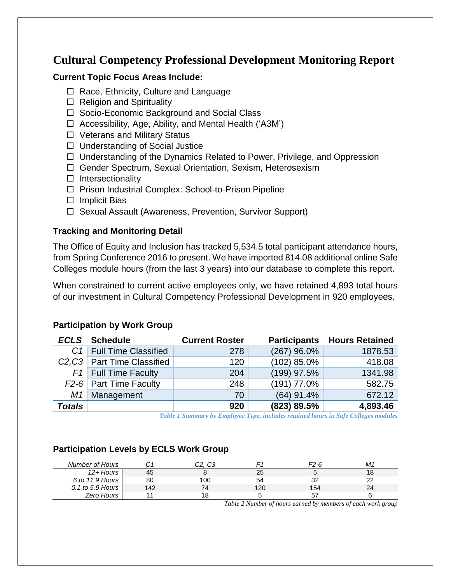## **Cultural Competency Professional Development Monitoring Report**

#### **Current Topic Focus Areas Include:**

- $\Box$  Race, Ethnicity, Culture and Language
- $\Box$  Religion and Spirituality
- □ Socio-Economic Background and Social Class
- $\Box$  Accessibility, Age, Ability, and Mental Health ('A3M')
- □ Veterans and Military Status
- $\Box$  Understanding of Social Justice
- $\Box$  Understanding of the Dynamics Related to Power, Privilege, and Oppression
- Gender Spectrum, Sexual Orientation, Sexism, Heterosexism
- $\Box$  Intersectionality
- □ Prison Industrial Complex: School-to-Prison Pipeline
- $\Box$  Implicit Bias
- □ Sexual Assault (Awareness, Prevention, Survivor Support)

#### **Tracking and Monitoring Detail**

The Office of Equity and Inclusion has tracked 5,534.5 total participant attendance hours, from Spring Conference 2016 to present. We have imported 814.08 additional online Safe Colleges module hours (from the last 3 years) into our database to complete this report.

When constrained to current active employees only, we have retained 4,893 total hours of our investment in Cultural Competency Professional Development in 920 employees.

#### *ECLS* **Schedule Current Roster Participants Hours Retained** *C1* Full Time Classified 278 (267) 96.0% 1878.53 *C2,C3* Part Time Classified 120 (102) 85.0% 418.08 *F1* Full Time Faculty 204 (199) 97.5% 1341.98 *F*2-6 Part Time Faculty 248 (191) 77.0% 582.75 *M1* Management 70 (64) 91.4% 672.12 *Totals* **920 (823) 89.5% 4,893.46**

#### **Participation by Work Group**

*Table 1 Summary by Employee Type, includes retained hours in Safe Colleges modules*

#### **Participation Levels by ECLS Work Group**

| Number of Hours  |     | C2. C3 |     | F2-6 | M1 |
|------------------|-----|--------|-----|------|----|
| $12 +$ Hours     | 45  |        | 23  |      | 18 |
| 6 to 11.9 Hours  | 80  | 100    | 54  | າາ   | າາ |
| 0.1 to 5.9 Hours | 142 |        | 120 | 154  | 24 |
| Zero Hours       |     |        |     |      |    |

*Table 2 Number of hours earned by members of each work group*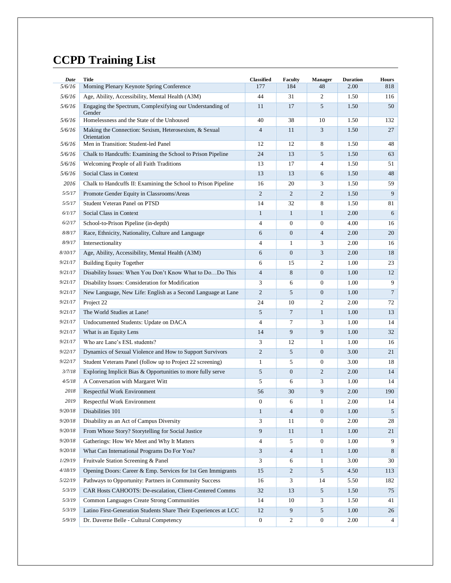# **CCPD Training List**

| Date    | <b>Title</b>                                                                                                  | <b>Classified</b> | Faculty          | <b>Manager</b>   | <b>Duration</b> | <b>Hours</b>   |
|---------|---------------------------------------------------------------------------------------------------------------|-------------------|------------------|------------------|-----------------|----------------|
| 5/6/16  | Morning Plenary Keynote Spring Conference                                                                     | 177               | 184              | 48               | 2.00            | 818            |
| 5/6/16  | Age, Ability, Accessibility, Mental Health (A3M)<br>Engaging the Spectrum, Complexifying our Understanding of | 44                | 31               | 2                | 1.50            | 116            |
| 5/6/16  | Gender                                                                                                        | 11                | 17               | 5                | 1.50            | 50             |
| 5/6/16  | Homelessness and the State of the Unhoused                                                                    | 40                | 38               | 10               | 1.50            | 132            |
| 5/6/16  | Making the Connection: Sexism, Heterosexism, & Sexual<br>Orientation                                          | $\overline{4}$    | 11               | 3                | 1.50            | 27             |
| 5/6/16  | Men in Transition: Student-led Panel                                                                          | 12                | 12               | 8                | 1.50            | 48             |
| 5/6/16  | Chalk to Handcuffs: Examining the School to Prison Pipeline                                                   | 24                | 13               | 5                | 1.50            | 63             |
| 5/6/16  | Welcoming People of all Faith Traditions                                                                      | 13                | 17               | $\overline{4}$   | 1.50            | 51             |
| 5/6/16  | Social Class in Context                                                                                       | 13                | 13               | 6                | 1.50            | 48             |
| 2016    | Chalk to Handcuffs II: Examining the School to Prison Pipeline                                                | 16                | 20               | 3                | 1.50            | 59             |
| 5/5/17  | Promote Gender Equity in Classrooms/Areas                                                                     | $\mathfrak{2}$    | $\overline{c}$   | 2                | 1.50            | 9              |
| 5/5/17  | Student Veteran Panel on PTSD                                                                                 | 14                | 32               | 8                | 1.50            | 81             |
| 6/1/17  | Social Class in Context                                                                                       | $\mathbf{1}$      | $\mathbf{1}$     | $\mathbf{1}$     | 2.00            | 6              |
| 6/2/17  | School-to-Prison Pipeline (in-depth)                                                                          | 4                 | $\overline{0}$   | $\mathbf{0}$     | 4.00            | 16             |
| 8/8/17  | Race, Ethnicity, Nationality, Culture and Language                                                            | 6                 | $\boldsymbol{0}$ | $\overline{4}$   | 2.00            | 20             |
| 8/9/17  | Intersectionality                                                                                             | 4                 | $\mathbf{1}$     | 3                | 2.00            | 16             |
| 8/10/17 | Age, Ability, Accessibility, Mental Health (A3M)                                                              | 6                 | $\boldsymbol{0}$ | 3                | 2.00            | 18             |
| 9/21/17 | <b>Building Equity Together</b>                                                                               | 6                 | 15               | $\overline{c}$   | 1.00            | 23             |
| 9/21/17 | Disability Issues: When You Don't Know What to DoDo This                                                      | $\overline{4}$    | 8                | $\mathbf{0}$     | 1.00            | 12             |
| 9/21/17 | Disability Issues: Consideration for Modification                                                             | 3                 | 6                | $\mathbf{0}$     | 1.00            | 9              |
| 9/21/17 | New Language, New Life: English as a Second Language at Lane                                                  | $\overline{c}$    | 5                | $\mathbf{0}$     | 1.00            | $\overline{7}$ |
| 9/21/17 | Project 22                                                                                                    | 24                | 10               | $\overline{c}$   | 2.00            | 72             |
| 9/21/17 | The World Studies at Lane!                                                                                    | 5                 | $\tau$           | $\mathbf{1}$     | 1.00            | 13             |
| 9/21/17 | Undocumented Students: Update on DACA                                                                         | 4                 | 7                | 3                | 1.00            | 14             |
| 9/21/17 | What is an Equity Lens                                                                                        | 14                | 9                | 9                | 1.00            | 32             |
| 9/21/17 | Who are Lane's ESL students?                                                                                  | 3                 | 12               | 1                | 1.00            | 16             |
| 9/22/17 | Dynamics of Sexual Violence and How to Support Survivors                                                      | $\mathfrak{2}$    | 5                | $\mathbf{0}$     | 3.00            | 21             |
| 9/22/17 | Student Veterans Panel (follow up to Project 22 screening)                                                    | 1                 | 5                | $\boldsymbol{0}$ | 3.00            | 18             |
| 3/7/18  | Exploring Implicit Bias & Opportunities to more fully serve                                                   | 5                 | $\overline{0}$   | 2                | 2.00            | 14             |
| 4/5/18  | A Conversation with Margaret Witt                                                                             | 5                 | 6                | 3                | 1.00            | 14             |
| 2018    | Respectful Work Environment                                                                                   | 56                | 30               | 9                | 2.00            | 190            |
| 2019    | Respectful Work Environment                                                                                   | $\boldsymbol{0}$  | 6                | 1                | 2.00            | 14             |
| 9/20/18 | Disabilities 101                                                                                              | $\mathbf{1}$      | $\overline{4}$   | $\mathbf{0}$     | 1.00            | 5              |
| 9/20/18 | Disability as an Act of Campus Diversity                                                                      | 3                 | 11               | $\mathbf{0}$     | 2.00            | 28             |
| 9/20/18 | From Whose Story? Storytelling for Social Justice                                                             | 9                 | 11               | $\mathbf{1}$     | 1.00            | 21             |
| 9/20/18 | Gatherings: How We Meet and Why It Matters                                                                    | $\overline{4}$    | 5                | $\mathbf{0}$     | 1.00            | 9              |
| 9/20/18 | What Can International Programs Do For You?                                                                   | 3                 | $\overline{4}$   | $\mathbf{1}$     | 1.00            | 8              |
| 1/29/19 | Fruitvale Station Screening & Panel                                                                           | 3                 | 6                | $\mathbf{1}$     | 3.00            | 30             |
| 4/18/19 | Opening Doors: Career & Emp. Services for 1st Gen Immigrants                                                  | 15                | $\overline{c}$   | 5                | 4.50            | 113            |
| 5/22/19 | Pathways to Opportunity: Partners in Community Success                                                        | 16                | 3                | 14               | 5.50            | 182            |
| 5/3/19  | CAR Hosts CAHOOTS: De-escalation, Client-Centered Comms                                                       | 32                | 13               | 5                | 1.50            | 75             |
| 5/3/19  | Common Languages Create Strong Communities                                                                    | 14                | 10               | 3                | 1.50            | 41             |
| 5/3/19  | Latino First-Generation Students Share Their Experiences at LCC                                               | 12                | 9                | 5                | 1.00            | 26             |
| 5/9/19  | Dr. Daverne Belle - Cultural Competency                                                                       | 0                 | 2                | $\boldsymbol{0}$ | 2.00            | 4              |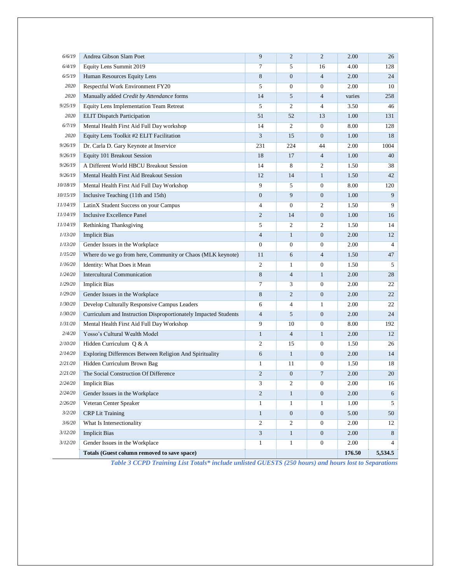| 6/6/19   | Andrea Gibson Slam Poet                                         | 9              | $\overline{2}$ | $\overline{c}$   | 2.00   | 26             |
|----------|-----------------------------------------------------------------|----------------|----------------|------------------|--------|----------------|
| 6/4/19   | Equity Lens Summit 2019                                         | 7              | 5              | 16               | 4.00   | 128            |
| 6/5/19   | Human Resources Equity Lens                                     | 8              | $\overline{0}$ | $\overline{4}$   | 2.00   | 24             |
| 2020     | Respectful Work Environment FY20                                | 5              | $\overline{0}$ | $\mathbf{0}$     | 2.00   | 10             |
| 2020     | Manually added Credit by Attendance forms                       | 14             | 5              | $\overline{4}$   | varies | 258            |
| 9/25/19  | Equity Lens Implementation Team Retreat                         | 5              | 2              | 4                | 3.50   | 46             |
| 2020     | <b>ELIT</b> Dispatch Participation                              | 51             | 52             | 13               | 1.00   | 131            |
| 6/7/19   | Mental Health First Aid Full Day workshop                       | 14             | 2              | $\mathbf{0}$     | 8.00   | 128            |
| 2020     | Equity Lens Toolkit #2 ELIT Facilitation                        | 3              | 15             | $\overline{0}$   | 1.00   | 18             |
| 9/26/19  | Dr. Carla D. Gary Keynote at Inservice                          | 231            | 224            | 44               | 2.00   | 1004           |
| 9/26/19  | Equity 101 Breakout Session                                     | 18             | 17             | $\overline{4}$   | 1.00   | 40             |
| 9/26/19  | A Different World HBCU Breakout Session                         | 14             | 8              | 2                | 1.50   | 38             |
| 9/26/19  | Mental Health First Aid Breakout Session                        | 12             | 14             | $\mathbf{1}$     | 1.50   | 42             |
| 10/18/19 | Mental Health First Aid Full Day Workshop                       | 9              | 5              | $\overline{0}$   | 8.00   | 120            |
| 10/15/19 | Inclusive Teaching (11th and 15th)                              | $\mathbf{0}$   | 9              | $\boldsymbol{0}$ | 1.00   | 9              |
| 11/14/19 | LatinX Student Success on your Campus                           | $\overline{4}$ | $\overline{0}$ | 2                | 1.50   | 9              |
| 11/14/19 | <b>Inclusive Excellence Panel</b>                               | $\overline{c}$ | 14             | $\mathbf{0}$     | 1.00   | 16             |
| 11/14/19 | Rethinking Thanksgiving                                         | 5              | 2              | 2                | 1.50   | 14             |
| 1/13/20  | <b>Implicit Bias</b>                                            | $\overline{4}$ | $\mathbf{1}$   | $\mathbf{0}$     | 2.00   | 12             |
| 1/13/20  | Gender Issues in the Workplace                                  | $\overline{0}$ | $\overline{0}$ | $\boldsymbol{0}$ | 2.00   | $\overline{4}$ |
| 1/15/20  | Where do we go from here, Community or Chaos (MLK keynote)      | 11             | 6              | $\overline{4}$   | 1.50   | 47             |
| 1/16/20  | Identity: What Does it Mean                                     | 2              | $\mathbf{1}$   | $\boldsymbol{0}$ | 1.50   | 5              |
| 1/24/20  | <b>Intercultural Communication</b>                              | $\,8\,$        | $\overline{4}$ | $\mathbf{1}$     | 2.00   | 28             |
| 1/29/20  | <b>Implicit Bias</b>                                            | 7              | 3              | $\boldsymbol{0}$ | 2.00   | 22             |
| 1/29/20  | Gender Issues in the Workplace                                  | 8              | $\overline{c}$ | $\boldsymbol{0}$ | 2.00   | 22             |
| 1/30/20  | Develop Culturally Responsive Campus Leaders                    | 6              | 4              | $\mathbf{1}$     | 2.00   | 22             |
| 1/30/20  | Curriculum and Instruction Disproportionately Impacted Students | $\overline{4}$ | 5              | $\mathbf{0}$     | 2.00   | 24             |
| 1/31/20  | Mental Health First Aid Full Day Workshop                       | 9              | 10             | $\boldsymbol{0}$ | 8.00   | 192            |
| 2/4/20   | Yosso's Cultural Wealth Model                                   | $\mathbf{1}$   | $\overline{4}$ | $\mathbf{1}$     | 2.00   | 12             |
| 2/10/20  | Hidden Curriculum Q & A                                         | 2              | 15             | $\boldsymbol{0}$ | 1.50   | 26             |
| 2/14/20  | Exploring Differences Between Religion And Spirituality         | 6              | $\mathbf{1}$   | $\mathbf{0}$     | 2.00   | 14             |
| 2/21/20  | Hidden Curriculum Brown Bag                                     | $\mathbf{1}$   | 11             | $\boldsymbol{0}$ | 1.50   | 18             |
| 2/21/20  | The Social Construction Of Difference                           | $\overline{2}$ | $\overline{0}$ | 7                | 2.00   | 20             |
| 2/24/20  | <b>Implicit Bias</b>                                            | 3              | 2              | 0                | 2.00   | 16             |
| 2/24/20  | Gender Issues in the Workplace                                  | $\overline{2}$ | $\mathbf{1}$   | $\mathbf{0}$     | 2.00   | 6              |
| 2/26/20  | Veteran Center Speaker                                          | $\mathbf{1}$   | $\mathbf{1}$   | $\mathbf{1}$     | 1.00   | 5              |
| 3/2/20   | <b>CRP Lit Training</b>                                         | $\mathbf{1}$   | $\mathbf{0}$   | $\overline{0}$   | 5.00   | 50             |
| 3/6/20   | What Is Intersectionality                                       | 2              | 2              | $\overline{0}$   | 2.00   | 12             |
| 3/12/20  | <b>Implicit Bias</b>                                            | 3              | $\mathbf{1}$   | $\mathbf{0}$     | 2.00   | 8              |
| 3/12/20  | Gender Issues in the Workplace                                  | $\mathbf{1}$   | $\mathbf{1}$   | $\boldsymbol{0}$ | 2.00   | $\overline{4}$ |
|          | Totals (Guest column removed to save space)                     |                |                |                  | 176.50 | 5,534.5        |

*Table 3 CCPD Training List Totals\* include unlisted GUESTS (250 hours) and hours lost to Separations*